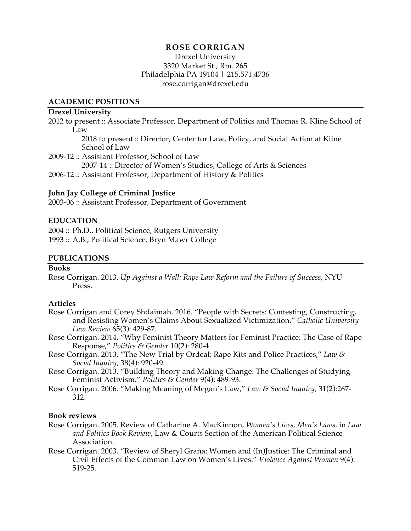# **ROSE CORRIGAN**

Drexel University 3320 Market St., Rm. 265 Philadelphia PA 19104 | 215.571.4736 rose.corrigan@drexel.edu

#### **ACADEMIC POSITIONS**

### **Drexel University**

2012 to present :: Associate Professor, Department of Politics and Thomas R. Kline School of Law

> 2018 to present :: Director, Center for Law, Policy, and Social Action at Kline School of Law

2009-12 :: Assistant Professor, School of Law

2007-14 :: Director of Women's Studies, College of Arts & Sciences

2006-12 :: Assistant Professor, Department of History & Politics

# **John Jay College of Criminal Justice**

2003-06 :: Assistant Professor, Department of Government

# **EDUCATION**

2004 :: Ph.D., Political Science, Rutgers University 1993 :: A.B., Political Science, Bryn Mawr College

# **PUBLICATIONS**

#### **Books**

Rose Corrigan. 2013. *Up Against a Wall: Rape Law Reform and the Failure of Success*, NYU Press.

#### **Articles**

- Rose Corrigan and Corey Shdaimah. 2016. "People with Secrets: Contesting, Constructing, and Resisting Women's Claims About Sexualized Victimization." *Catholic University Law Review* 65(3): 429-87.
- Rose Corrigan. 2014. "Why Feminist Theory Matters for Feminist Practice: The Case of Rape Response," *Politics & Gender* 10(2): 280-4.
- Rose Corrigan. 2013. "The New Trial by Ordeal: Rape Kits and Police Practices," *Law & Social Inquiry,* 38(4): 920-49*.*
- Rose Corrigan. 2013. "Building Theory and Making Change: The Challenges of Studying Feminist Activism." *Politics & Gender* 9(4): 489-93.
- Rose Corrigan. 2006. "Making Meaning of Megan's Law," *Law & Social Inquiry,* 31(2):267- 312.

# **Book reviews**

- Rose Corrigan. 2005. Review of Catharine A. MacKinnon, *Women's Lives, Men's Laws,* in *Law and Politics Book Review*, Law & Courts Section of the American Political Science Association.
- Rose Corrigan. 2003. "Review of Sheryl Grana: Women and (In)Justice: The Criminal and Civil Effects of the Common Law on Women's Lives." *Violence Against Women* 9(4): 519-25.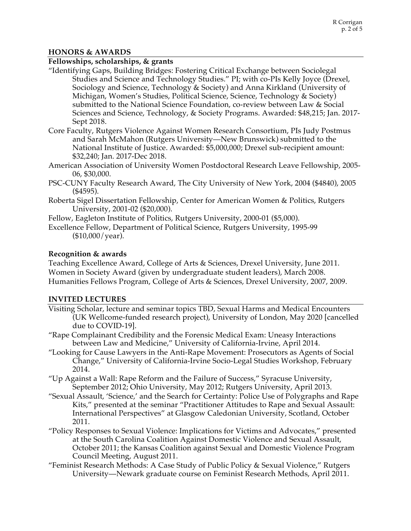# **HONORS & AWARDS**

### **Fellowships, scholarships, & grants**

- "Identifying Gaps, Building Bridges: Fostering Critical Exchange between Sociolegal Studies and Science and Technology Studies." PI; with co-PIs Kelly Joyce (Drexel, Sociology and Science, Technology & Society) and Anna Kirkland (University of Michigan, Women's Studies, Political Science, Science, Technology & Society) submitted to the National Science Foundation, co-review between Law & Social Sciences and Science, Technology, & Society Programs. Awarded: \$48,215; Jan. 2017- Sept 2018.
- Core Faculty, Rutgers Violence Against Women Research Consortium, PIs Judy Postmus and Sarah McMahon (Rutgers University—New Brunswick) submitted to the National Institute of Justice. Awarded: \$5,000,000; Drexel sub-recipient amount: \$32,240; Jan. 2017-Dec 2018.
- American Association of University Women Postdoctoral Research Leave Fellowship, 2005- 06, \$30,000.
- PSC-CUNY Faculty Research Award, The City University of New York, 2004 (\$4840), 2005 (\$4595).
- Roberta Sigel Dissertation Fellowship, Center for American Women & Politics, Rutgers University, 2001-02 (\$20,000).
- Fellow, Eagleton Institute of Politics, Rutgers University, 2000-01 (\$5,000).
- Excellence Fellow, Department of Political Science, Rutgers University, 1995-99 (\$10,000/year).

# **Recognition & awards**

Teaching Excellence Award, College of Arts & Sciences, Drexel University, June 2011. Women in Society Award (given by undergraduate student leaders), March 2008. Humanities Fellows Program, College of Arts & Sciences, Drexel University, 2007, 2009.

#### **INVITED LECTURES**

- Visiting Scholar, lecture and seminar topics TBD, Sexual Harms and Medical Encounters (UK Wellcome-funded research project), University of London, May 2020 [cancelled due to COVID-19].
- "Rape Complainant Credibility and the Forensic Medical Exam: Uneasy Interactions between Law and Medicine," University of California-Irvine, April 2014.
- "Looking for Cause Lawyers in the Anti-Rape Movement: Prosecutors as Agents of Social Change," University of California-Irvine Socio-Legal Studies Workshop, February 2014.
- "Up Against a Wall: Rape Reform and the Failure of Success," Syracuse University, September 2012; Ohio University, May 2012; Rutgers University, April 2013.
- "Sexual Assault, 'Science,' and the Search for Certainty: Police Use of Polygraphs and Rape Kits," presented at the seminar "Practitioner Attitudes to Rape and Sexual Assault: International Perspectives" at Glasgow Caledonian University, Scotland, October 2011.
- "Policy Responses to Sexual Violence: Implications for Victims and Advocates," presented at the South Carolina Coalition Against Domestic Violence and Sexual Assault, October 2011; the Kansas Coalition against Sexual and Domestic Violence Program Council Meeting, August 2011.
- "Feminist Research Methods: A Case Study of Public Policy & Sexual Violence," Rutgers University—Newark graduate course on Feminist Research Methods, April 2011.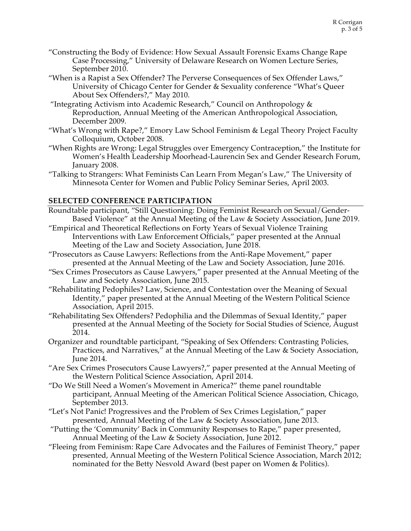- "Constructing the Body of Evidence: How Sexual Assault Forensic Exams Change Rape Case Processing," University of Delaware Research on Women Lecture Series, September 2010.
- "When is a Rapist a Sex Offender? The Perverse Consequences of Sex Offender Laws," University of Chicago Center for Gender & Sexuality conference "What's Queer About Sex Offenders?," May 2010.
- "Integrating Activism into Academic Research," Council on Anthropology & Reproduction, Annual Meeting of the American Anthropological Association, December 2009.
- "What's Wrong with Rape?," Emory Law School Feminism & Legal Theory Project Faculty Colloquium, October 2008.
- "When Rights are Wrong: Legal Struggles over Emergency Contraception," the Institute for Women's Health Leadership Moorhead-Laurencin Sex and Gender Research Forum, January 2008.
- "Talking to Strangers: What Feminists Can Learn From Megan's Law," The University of Minnesota Center for Women and Public Policy Seminar Series, April 2003.

# **SELECTED CONFERENCE PARTICIPATION**

- Roundtable participant, "Still Questioning: Doing Feminist Research on Sexual/Gender-Based Violence" at the Annual Meeting of the Law & Society Association, June 2019.
- "Empirical and Theoretical Reflections on Forty Years of Sexual Violence Training Interventions with Law Enforcement Officials," paper presented at the Annual Meeting of the Law and Society Association, June 2018.
- "Prosecutors as Cause Lawyers: Reflections from the Anti-Rape Movement," paper presented at the Annual Meeting of the Law and Society Association, June 2016.
- "Sex Crimes Prosecutors as Cause Lawyers," paper presented at the Annual Meeting of the Law and Society Association, June 2015.
- "Rehabilitating Pedophiles? Law, Science, and Contestation over the Meaning of Sexual Identity," paper presented at the Annual Meeting of the Western Political Science Association, April 2015.
- "Rehabilitating Sex Offenders? Pedophilia and the Dilemmas of Sexual Identity," paper presented at the Annual Meeting of the Society for Social Studies of Science, August 2014.
- Organizer and roundtable participant, "Speaking of Sex Offenders: Contrasting Policies, Practices, and Narratives," at the Annual Meeting of the Law & Society Association, June 2014.
- "Are Sex Crimes Prosecutors Cause Lawyers?," paper presented at the Annual Meeting of the Western Political Science Association, April 2014.
- "Do We Still Need a Women's Movement in America?" theme panel roundtable participant, Annual Meeting of the American Political Science Association, Chicago, September 2013.
- "Let's Not Panic! Progressives and the Problem of Sex Crimes Legislation," paper presented, Annual Meeting of the Law & Society Association, June 2013.
- "Putting the 'Community' Back in Community Responses to Rape," paper presented, Annual Meeting of the Law & Society Association, June 2012.
- "Fleeing from Feminism: Rape Care Advocates and the Failures of Feminist Theory," paper presented, Annual Meeting of the Western Political Science Association, March 2012; nominated for the Betty Nesvold Award (best paper on Women & Politics).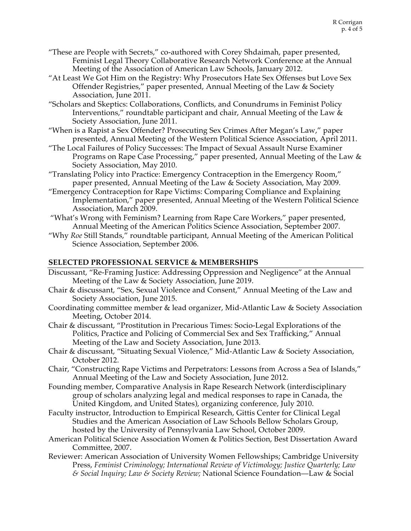- "These are People with Secrets," co-authored with Corey Shdaimah, paper presented, Feminist Legal Theory Collaborative Research Network Conference at the Annual Meeting of the Association of American Law Schools, January 2012.
- "At Least We Got Him on the Registry: Why Prosecutors Hate Sex Offenses but Love Sex Offender Registries," paper presented, Annual Meeting of the Law & Society Association, June 2011.
- "Scholars and Skeptics: Collaborations, Conflicts, and Conundrums in Feminist Policy Interventions," roundtable participant and chair, Annual Meeting of the Law & Society Association, June 2011.
- "When is a Rapist a Sex Offender? Prosecuting Sex Crimes After Megan's Law," paper presented, Annual Meeting of the Western Political Science Association, April 2011.
- "The Local Failures of Policy Successes: The Impact of Sexual Assault Nurse Examiner Programs on Rape Case Processing," paper presented, Annual Meeting of the Law & Society Association, May 2010.
- "Translating Policy into Practice: Emergency Contraception in the Emergency Room," paper presented, Annual Meeting of the Law & Society Association, May 2009.
- "Emergency Contraception for Rape Victims: Comparing Compliance and Explaining Implementation," paper presented, Annual Meeting of the Western Political Science Association, March 2009.
- "What's Wrong with Feminism? Learning from Rape Care Workers," paper presented, Annual Meeting of the American Politics Science Association, September 2007.
- "Why *Roe* Still Stands," roundtable participant, Annual Meeting of the American Political Science Association, September 2006.

# **SELECTED PROFESSIONAL SERVICE & MEMBERSHIPS**

- Discussant, "Re-Framing Justice: Addressing Oppression and Negligence" at the Annual Meeting of the Law & Society Association, June 2019.
- Chair & discussant, "Sex, Sexual Violence and Consent," Annual Meeting of the Law and Society Association, June 2015.
- Coordinating committee member & lead organizer, Mid-Atlantic Law & Society Association Meeting, October 2014.
- Chair & discussant, "Prostitution in Precarious Times: Socio-Legal Explorations of the Politics, Practice and Policing of Commercial Sex and Sex Trafficking," Annual Meeting of the Law and Society Association, June 2013.
- Chair & discussant, "Situating Sexual Violence," Mid-Atlantic Law & Society Association, October 2012.
- Chair, "Constructing Rape Victims and Perpetrators: Lessons from Across a Sea of Islands," Annual Meeting of the Law and Society Association, June 2012.
- Founding member, Comparative Analysis in Rape Research Network (interdisciplinary group of scholars analyzing legal and medical responses to rape in Canada, the United Kingdom, and United States), organizing conference, July 2010.
- Faculty instructor, Introduction to Empirical Research, Gittis Center for Clinical Legal Studies and the American Association of Law Schools Bellow Scholars Group, hosted by the University of Pennsylvania Law School, October 2009.
- American Political Science Association Women & Politics Section, Best Dissertation Award Committee, 2007.
- Reviewer: American Association of University Women Fellowships; Cambridge University Press, *Feminist Criminology; International Review of Victimology; Justice Quarterly; Law & Social Inquiry; Law & Society Review;* National Science Foundation—Law & Social